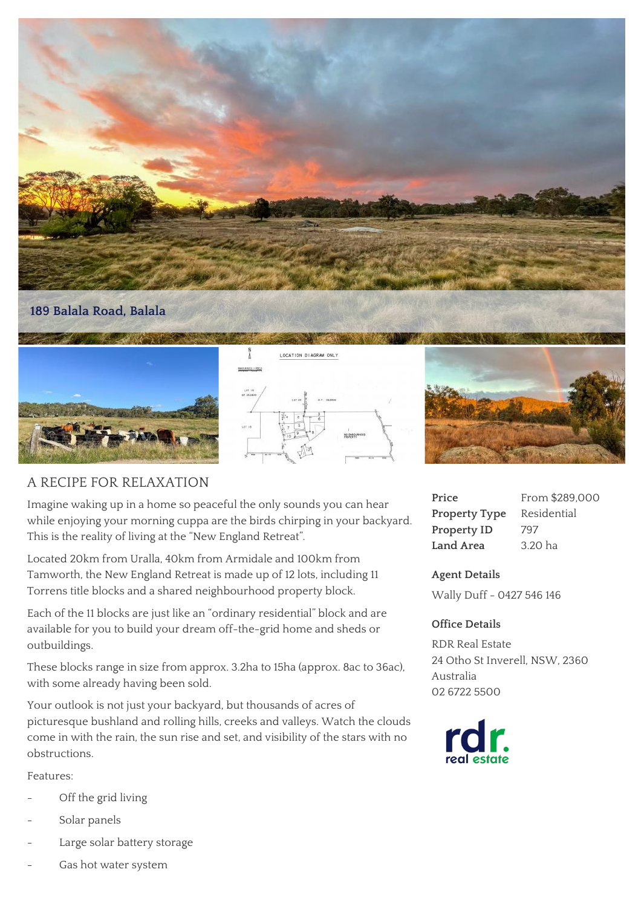

#### **189 Balala Road, Balala**







# A RECIPE FOR RELAXATION

Imagine waking up in a home so peaceful the only sounds you can hear while enjoying your morning cuppa are the birds chirping in your backyard. This is the reality of living at the "New England Retreat".

Located 20km from Uralla, 40km from Armidale and 100km from Tamworth, the New England Retreat is made up of 12 lots, including 11 Torrens title blocks and a shared neighbourhood property block.

Each of the 11 blocks are just like an "ordinary residential" block and are available for you to build your dream off-the-grid home and sheds or outbuildings.

These blocks range in size from approx. 3.2ha to 15ha (approx. 8ac to 36ac), with some already having been sold.

Your outlook is not just your backyard, but thousands of acres of picturesque bushland and rolling hills, creeks and valleys. Watch the clouds come in with the rain, the sun rise and set, and visibility of the stars with no obstructions.

Features:

- Off the grid living
- Solar panels
- Large solar battery storage
- Gas hot water system

## **Price** From \$289,000 **Property Type** Residential Property ID 797 **Land Area** 3.20 ha

## **Agent Details**

Wally Duff - 0427 546 146

#### **Office Details**

RDR Real Estate 24 Otho St Inverell, NSW, 2360 Australia 02 6722 5500